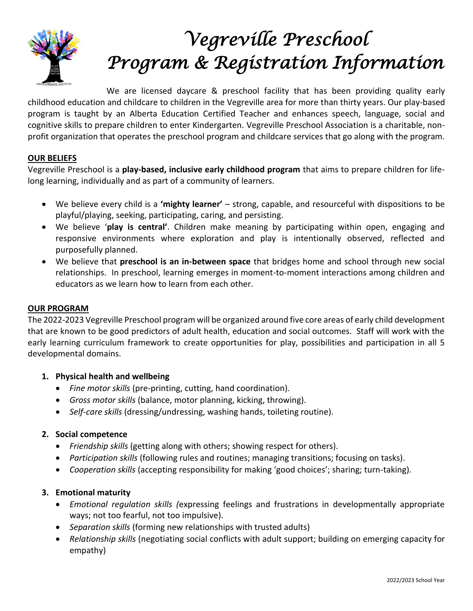

# *Vegreville Preschool Program & Registration Information*

We are licensed daycare & preschool facility that has been providing quality early childhood education and childcare to children in the Vegreville area for more than thirty years. Our play-based program is taught by an Alberta Education Certified Teacher and enhances speech, language, social and cognitive skills to prepare children to enter Kindergarten. Vegreville Preschool Association is a charitable, nonprofit organization that operates the preschool program and childcare services that go along with the program.

# **OUR BELIEFS**

Vegreville Preschool is a **play-based, inclusive early childhood program** that aims to prepare children for lifelong learning, individually and as part of a community of learners.

- We believe every child is a **'mighty learner'**  strong, capable, and resourceful with dispositions to be playful/playing, seeking, participating, caring, and persisting.
- We believe '**play is central'**. Children make meaning by participating within open, engaging and responsive environments where exploration and play is intentionally observed, reflected and purposefully planned.
- We believe that **preschool is an in-between space** that bridges home and school through new social relationships. In preschool, learning emerges in moment-to-moment interactions among children and educators as we learn how to learn from each other.

# **OUR PROGRAM**

The 2022-2023 Vegreville Preschool program will be organized around five core areas of early child development that are known to be good predictors of adult health, education and social outcomes. Staff will work with the early learning curriculum framework to create opportunities for play, possibilities and participation in all 5 developmental domains.

# **1. Physical health and wellbeing**

- *Fine motor skills* (pre-printing, cutting, hand coordination).
- *Gross motor skills* (balance, motor planning, kicking, throwing).
- *Self-care skills* (dressing/undressing, washing hands, toileting routine).

# **2. Social competence**

- *Friendship skills* (getting along with others; showing respect for others).
- *Participation skills* (following rules and routines; managing transitions; focusing on tasks).
- *Cooperation skills* (accepting responsibility for making 'good choices'; sharing; turn-taking).

# **3. Emotional maturity**

- *Emotional regulation skills (*expressing feelings and frustrations in developmentally appropriate ways; not too fearful, not too impulsive).
- *Separation skills* (forming new relationships with trusted adults)
- *Relationship skills* (negotiating social conflicts with adult support; building on emerging capacity for empathy)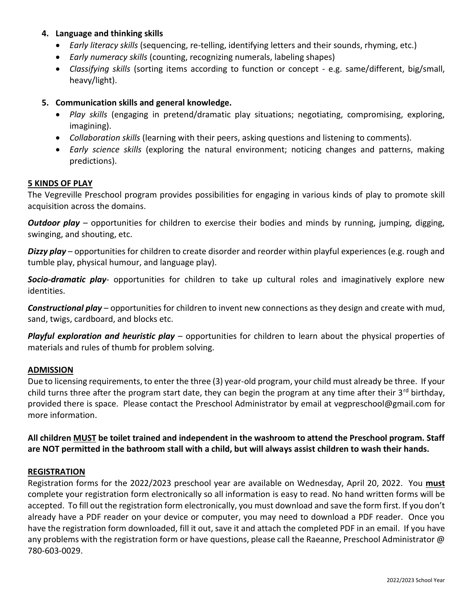# **4. Language and thinking skills**

- *Early literacy skills* (sequencing, re-telling, identifying letters and their sounds, rhyming, etc.)
- *Early numeracy skills* (counting, recognizing numerals, labeling shapes)
- *Classifying skills* (sorting items according to function or concept e.g. same/different, big/small, heavy/light).

# **5. Communication skills and general knowledge.**

- *Play skills* (engaging in pretend/dramatic play situations; negotiating, compromising, exploring, imagining).
- *Collaboration skills* (learning with their peers, asking questions and listening to comments).
- *Early science skills* (exploring the natural environment; noticing changes and patterns, making predictions).

#### **5 KINDS OF PLAY**

The Vegreville Preschool program provides possibilities for engaging in various kinds of play to promote skill acquisition across the domains.

*Outdoor play* – opportunities for children to exercise their bodies and minds by running, jumping, digging, swinging, and shouting, etc.

*Dizzy play* – opportunities for children to create disorder and reorder within playful experiences (e.g. rough and tumble play, physical humour, and language play).

*Socio-dramatic play*- opportunities for children to take up cultural roles and imaginatively explore new identities.

*Constructional play* – opportunities for children to invent new connections as they design and create with mud, sand, twigs, cardboard, and blocks etc.

*Playful exploration and heuristic play* – opportunities for children to learn about the physical properties of materials and rules of thumb for problem solving.

## **ADMISSION**

Due to licensing requirements, to enter the three (3) year-old program, your child must already be three. If your child turns three after the program start date, they can begin the program at any time after their  $3^{rd}$  birthday, provided there is space. Please contact the Preschool Administrator by email at vegpreschool@gmail.com for more information.

**All children MUST be toilet trained and independent in the washroom to attend the Preschool program. Staff are NOT permitted in the bathroom stall with a child, but will always assist children to wash their hands.** 

## **REGISTRATION**

Registration forms for the 2022/2023 preschool year are available on Wednesday, April 20, 2022. You **must** complete your registration form electronically so all information is easy to read. No hand written forms will be accepted. To fill out the registration form electronically, you must download and save the form first. If you don't already have a PDF reader on your device or computer, you may need to download a PDF reader. Once you have the registration form downloaded, fill it out, save it and attach the completed PDF in an email. If you have any problems with the registration form or have questions, please call the Raeanne, Preschool Administrator @ 780-603-0029.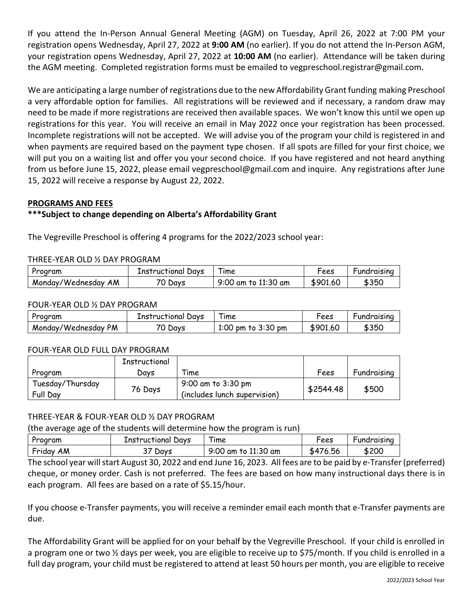If you attend the In-Person Annual General Meeting (AGM) on Tuesday, April 26, 2022 at 7:00 PM your registration opens Wednesday, April 27, 2022 at **9:00 AM** (no earlier). If you do not attend the In-Person AGM, your registration opens Wednesday, April 27, 2022 at **10:00 AM** (no earlier). Attendance will be taken during the AGM meeting. Completed registration forms must be emailed to vegpreschool.registrar@gmail.com.

We are anticipating a large number of registrations due to the new Affordability Grant funding making Preschool a very affordable option for families. All registrations will be reviewed and if necessary, a random draw may need to be made if more registrations are received then available spaces. We won't know this until we open up registrations for this year. You will receive an email in May 2022 once your registration has been processed. Incomplete registrations will not be accepted. We will advise you of the program your child is registered in and when payments are required based on the payment type chosen. If all spots are filled for your first choice, we will put you on a waiting list and offer you your second choice. If you have registered and not heard anything from us before June 15, 2022, please email vegpreschool@gmail.com and inquire. Any registrations after June 15, 2022 will receive a response by August 22, 2022.

# **PROGRAMS AND FEES**

# **\*\*\*Subject to change depending on Alberta's Affordability Grant**

The Vegreville Preschool is offering 4 programs for the 2022/2023 school year:

#### THREE-YEAR OLD ½ DAY PROGRAM

| Program          | Instructional Days | ıme              | rees  | Fundraising |
|------------------|--------------------|------------------|-------|-------------|
| ΑM               | Days               | ) am to 11:30 am | \$901 | \$350       |
| Monday/Wednesday | ັ                  | 9:00             | .6C   |             |

#### FOUR-YEAR OLD ½ DAY PROGRAM

| Program                       | Instructional Days | ıme                       | Fees     | Fundraising |
|-------------------------------|--------------------|---------------------------|----------|-------------|
| <b>PM</b><br>Monday/Wednesday | Days               | $pm$ to 3:30 $pm$<br>1:00 | \$901.60 | \$35C       |

#### FOUR-YEAR OLD FULL DAY PROGRAM

|                              | Instructional |                                                    |           |             |
|------------------------------|---------------|----------------------------------------------------|-----------|-------------|
| Program                      | Davs          | Fime                                               | Fees      | Fundraising |
| Tuesday/Thursday<br>Full Day | 76 Days       | 9:00 am to 3:30 pm<br>(includes lunch supervision) | \$2544.48 | \$500       |

## THREE-YEAR & FOUR-YEAR OLD ½ DAY PROGRAM

(the average age of the students will determine how the program is run)

| Program      | Instructional Days | ıme                 | Fees     | Fundraising |
|--------------|--------------------|---------------------|----------|-------------|
| AM<br>Friday | Days               | 9:00 am to 11:30 am | \$476.56 | \$200       |

The school year will start August 30, 2022 and end June 16, 2023. All fees are to be paid by e-Transfer (preferred) cheque, or money order. Cash is not preferred. The fees are based on how many instructional days there is in each program. All fees are based on a rate of \$5.15/hour.

If you choose e-Transfer payments, you will receive a reminder email each month that e-Transfer payments are due.

The Affordability Grant will be applied for on your behalf by the Vegreville Preschool. If your child is enrolled in a program one or two ½ days per week, you are eligible to receive up to \$75/month. If you child is enrolled in a full day program, your child must be registered to attend at least 50 hours per month, you are eligible to receive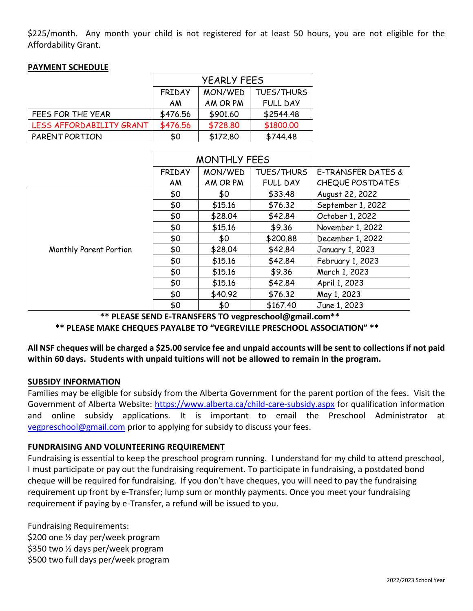\$225/month. Any month your child is not registered for at least 50 hours, you are not eligible for the Affordability Grant.

|                          | <b>YEARLY FEES</b> |          |                   |
|--------------------------|--------------------|----------|-------------------|
|                          | <b>FRIDAY</b>      | MON/WED  | <b>TUES/THURS</b> |
|                          | ΑM                 | AM OR PM | <b>FULL DAY</b>   |
| FEES FOR THE YEAR        | \$476.56           | \$901.60 | \$2544.48         |
| LESS AFFORDABILITY GRANT | \$476.56           | \$728.80 | \$1800.00         |
| PARENT PORTION           | \$0                | \$172.80 | \$744.48          |

## **PAYMENT SCHEDULE**

|                        |               | <b>MONTHLY FEES</b> |                   |                    |
|------------------------|---------------|---------------------|-------------------|--------------------|
|                        | <b>FRIDAY</b> | MON/WED             | <b>TUES/THURS</b> | E-TRANSFER DATES & |
|                        | AM            | AM OR PM            | <b>FULL DAY</b>   | CHEQUE POSTDATES   |
|                        | \$0           | \$0                 | \$33.48           | August 22, 2022    |
|                        | \$0           | \$15.16             | \$76.32           | September 1, 2022  |
|                        | \$0           | \$28.04             | \$42.84           | October 1, 2022    |
|                        | \$0           | \$15.16             | \$9.36            | November 1, 2022   |
|                        | \$0           | \$0                 | \$200.88          | December 1, 2022   |
| Monthly Parent Portion | \$0           | \$28.04             | \$42.84           | January 1, 2023    |
|                        | \$0           | \$15.16             | \$42.84           | February 1, 2023   |
|                        | \$0           | \$15.16             | \$9.36            | March 1, 2023      |
|                        | \$0           | \$15.16             | \$42.84           | April 1, 2023      |
|                        | \$0           | \$40.92             | \$76.32           | May 1, 2023        |
|                        | \$0           | \$0                 | \$167.40          | June 1, 2023       |

 **\*\* PLEASE SEND E-TRANSFERS TO vegpreschool@gmail.com\*\***

 **\*\* PLEASE MAKE CHEQUES PAYALBE TO "VEGREVILLE PRESCHOOL ASSOCIATION" \*\***

**All NSF cheques will be charged a \$25.00 service fee and unpaid accounts will be sent to collections if not paid within 60 days. Students with unpaid tuitions will not be allowed to remain in the program.**

## **SUBSIDY INFORMATION**

Families may be eligible for subsidy from the Alberta Government for the parent portion of the fees. Visit the Government of Alberta Website:<https://www.alberta.ca/child-care-subsidy.aspx> for qualification information and online subsidy applications. It is important to email the Preschool Administrator at [vegpreschool@gmail.com](mailto:vegpreschool@gmail.com) prior to applying for subsidy to discuss your fees.

## **FUNDRAISING AND VOLUNTEERING REQUIREMENT**

Fundraising is essential to keep the preschool program running. I understand for my child to attend preschool, I must participate or pay out the fundraising requirement. To participate in fundraising, a postdated bond cheque will be required for fundraising. If you don't have cheques, you will need to pay the fundraising requirement up front by e-Transfer; lump sum or monthly payments. Once you meet your fundraising requirement if paying by e-Transfer, a refund will be issued to you.

Fundraising Requirements: \$200 one ½ day per/week program \$350 two ½ days per/week program \$500 two full days per/week program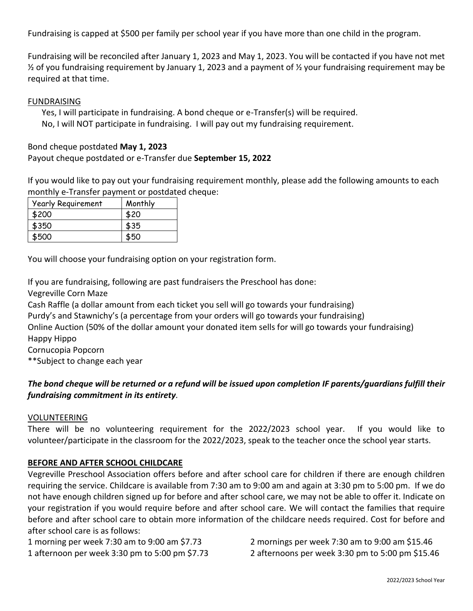Fundraising is capped at \$500 per family per school year if you have more than one child in the program.

Fundraising will be reconciled after January 1, 2023 and May 1, 2023. You will be contacted if you have not met ½ of you fundraising requirement by January 1, 2023 and a payment of ½ your fundraising requirement may be required at that time.

#### FUNDRAISING

Yes, I will participate in fundraising. A bond cheque or e-Transfer(s) will be required. No, I will NOT participate in fundraising. I will pay out my fundraising requirement.

Bond cheque postdated **May 1, 2023**

Payout cheque postdated or e-Transfer due **September 15, 2022**

If you would like to pay out your fundraising requirement monthly, please add the following amounts to each monthly e-Transfer payment or postdated cheque:

| <b>Yearly Requirement</b> | Monthly |
|---------------------------|---------|
| \$200                     | \$20    |
| \$350                     | \$35    |
| \$500                     | \$50    |

You will choose your fundraising option on your registration form.

If you are fundraising, following are past fundraisers the Preschool has done: Vegreville Corn Maze

Cash Raffle (a dollar amount from each ticket you sell will go towards your fundraising)

Purdy's and Stawnichy's (a percentage from your orders will go towards your fundraising)

Online Auction (50% of the dollar amount your donated item sells for will go towards your fundraising) Happy Hippo

Cornucopia Popcorn

\*\*Subject to change each year

# *The bond cheque will be returned or a refund will be issued upon completion IF parents/guardians fulfill their fundraising commitment in its entirety.*

#### VOLUNTEERING

There will be no volunteering requirement for the 2022/2023 school year. If you would like to volunteer/participate in the classroom for the 2022/2023, speak to the teacher once the school year starts.

## **BEFORE AND AFTER SCHOOL CHILDCARE**

Vegreville Preschool Association offers before and after school care for children if there are enough children requiring the service. Childcare is available from 7:30 am to 9:00 am and again at 3:30 pm to 5:00 pm. If we do not have enough children signed up for before and after school care, we may not be able to offer it. Indicate on your registration if you would require before and after school care. We will contact the families that require before and after school care to obtain more information of the childcare needs required. Cost for before and after school care is as follows:

1 morning per week 7:30 am to 9:00 am \$7.73 2 mornings per week 7:30 am to 9:00 am \$15.46 1 afternoon per week 3:30 pm to 5:00 pm \$7.73 2 afternoons per week 3:30 pm to 5:00 pm \$15.46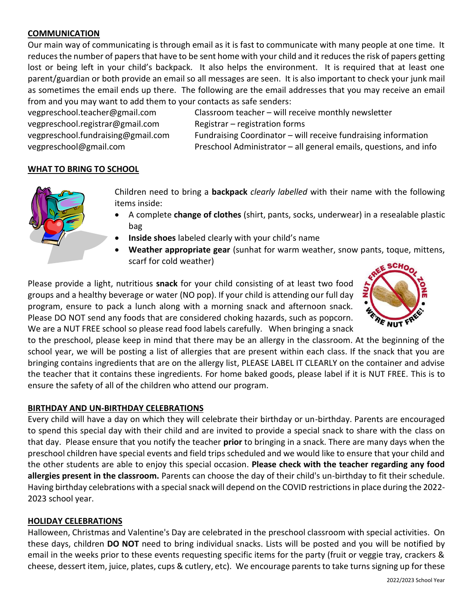# **COMMUNICATION**

Our main way of communicating is through email as it is fast to communicate with many people at one time. It reduces the number of papers that have to be sent home with your child and it reduces the risk of papers getting lost or being left in your child's backpack. It also helps the environment. It is required that at least one parent/guardian or both provide an email so all messages are seen. It is also important to check your junk mail as sometimes the email ends up there. The following are the email addresses that you may receive an email from and you may want to add them to your contacts as safe senders:

vegpreschool.registrar@gmail.com Registrar – registration forms

vegpreschool.teacher@gmail.com Classroom teacher – will receive monthly newsletter vegpreschool.fundraising@gmail.com Fundraising Coordinator – will receive fundraising information vegpreschool@gmail.com Preschool Administrator – all general emails, questions, and info

# **WHAT TO BRING TO SCHOOL**



Children need to bring a **backpack** *clearly labelled* with their name with the following items inside:

- A complete **change of clothes** (shirt, pants, socks, underwear) in a resealable plastic bag
- **Inside shoes** labeled clearly with your child's name
- **Weather appropriate gear** (sunhat for warm weather, snow pants, toque, mittens, scarf for cold weather)

Please provide a light, nutritious **snack** for your child consisting of at least two food groups and a healthy beverage or water (NO pop). If your child is attending our full day program, ensure to pack a lunch along with a morning snack and afternoon snack. Please DO NOT send any foods that are considered choking hazards, such as popcorn. We are a NUT FREE school so please read food labels carefully. When bringing a snack



to the preschool, please keep in mind that there may be an allergy in the classroom. At the beginning of the school year, we will be posting a list of allergies that are present within each class. If the snack that you are bringing contains ingredients that are on the allergy list, PLEASE LABEL IT CLEARLY on the container and advise the teacher that it contains these ingredients. For home baked goods, please label if it is NUT FREE. This is to ensure the safety of all of the children who attend our program.

## **BIRTHDAY AND UN-BIRTHDAY CELEBRATIONS**

Every child will have a day on which they will celebrate their birthday or un-birthday. Parents are encouraged to spend this special day with their child and are invited to provide a special snack to share with the class on that day. Please ensure that you notify the teacher **prior** to bringing in a snack. There are many days when the preschool children have special events and field trips scheduled and we would like to ensure that your child and the other students are able to enjoy this special occasion. **Please check with the teacher regarding any food allergies present in the classroom.** Parents can choose the day of their child's un-birthday to fit their schedule. Having birthday celebrations with a special snack will depend on the COVID restrictions in place during the 2022- 2023 school year.

## **HOLIDAY CELEBRATIONS**

Halloween, Christmas and Valentine's Day are celebrated in the preschool classroom with special activities. On these days, children **DO NOT** need to bring individual snacks. Lists will be posted and you will be notified by email in the weeks prior to these events requesting specific items for the party (fruit or veggie tray, crackers & cheese, dessert item, juice, plates, cups & cutlery, etc). We encourage parents to take turns signing up for these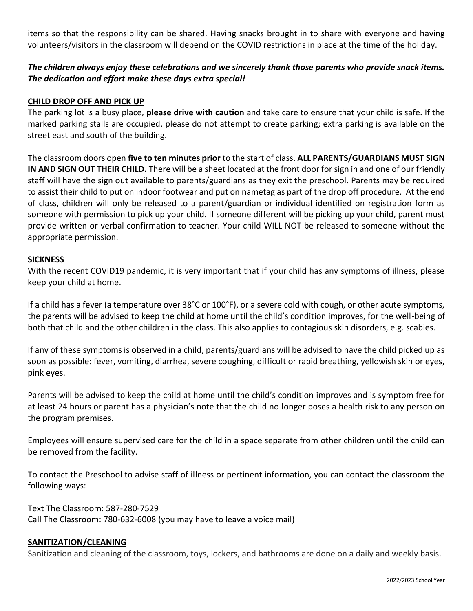items so that the responsibility can be shared. Having snacks brought in to share with everyone and having volunteers/visitors in the classroom will depend on the COVID restrictions in place at the time of the holiday.

# *The children always enjoy these celebrations and we sincerely thank those parents who provide snack items. The dedication and effort make these days extra special!*

# **CHILD DROP OFF AND PICK UP**

The parking lot is a busy place, **please drive with caution** and take care to ensure that your child is safe. If the marked parking stalls are occupied, please do not attempt to create parking; extra parking is available on the street east and south of the building.

The classroom doors open **five to ten minutes prior** to the start of class. **ALL PARENTS/GUARDIANS MUST SIGN IN AND SIGN OUT THEIR CHILD.** There will be a sheet located at the front door for sign in and one of our friendly staff will have the sign out available to parents/guardians as they exit the preschool. Parents may be required to assist their child to put on indoor footwear and put on nametag as part of the drop off procedure. At the end of class, children will only be released to a parent/guardian or individual identified on registration form as someone with permission to pick up your child. If someone different will be picking up your child, parent must provide written or verbal confirmation to teacher. Your child WILL NOT be released to someone without the appropriate permission.

#### **SICKNESS**

With the recent COVID19 pandemic, it is very important that if your child has any symptoms of illness, please keep your child at home.

If a child has a fever (a temperature over 38°C or 100°F), or a severe cold with cough, or other acute symptoms, the parents will be advised to keep the child at home until the child's condition improves, for the well-being of both that child and the other children in the class. This also applies to contagious skin disorders, e.g. scabies.

If any of these symptoms is observed in a child, parents/guardians will be advised to have the child picked up as soon as possible: fever, vomiting, diarrhea, severe coughing, difficult or rapid breathing, yellowish skin or eyes, pink eyes.

Parents will be advised to keep the child at home until the child's condition improves and is symptom free for at least 24 hours or parent has a physician's note that the child no longer poses a health risk to any person on the program premises.

Employees will ensure supervised care for the child in a space separate from other children until the child can be removed from the facility.

To contact the Preschool to advise staff of illness or pertinent information, you can contact the classroom the following ways:

Text The Classroom: 587-280-7529 Call The Classroom: 780-632-6008 (you may have to leave a voice mail)

#### **SANITIZATION/CLEANING**

Sanitization and cleaning of the classroom, toys, lockers, and bathrooms are done on a daily and weekly basis.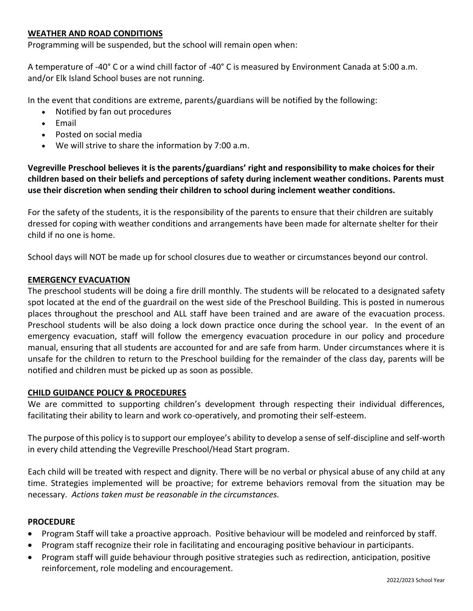# **WEATHER AND ROAD CONDITIONS**

Programming will be suspended, but the school will remain open when:

A temperature of -40° C or a wind chill factor of -40° C is measured by Environment Canada at 5:00 a.m. and/or Elk Island School buses are not running.

In the event that conditions are extreme, parents/guardians will be notified by the following:

- Notified by fan out procedures
- Email
- Posted on social media
- We will strive to share the information by 7:00 a.m.

**Vegreville Preschool believes it is the parents/guardians' right and responsibility to make choices for their children based on their beliefs and perceptions of safety during inclement weather conditions. Parents must use their discretion when sending their children to school during inclement weather conditions.**

For the safety of the students, it is the responsibility of the parents to ensure that their children are suitably dressed for coping with weather conditions and arrangements have been made for alternate shelter for their child if no one is home.

School days will NOT be made up for school closures due to weather or circumstances beyond our control.

#### **EMERGENCY EVACUATION**

The preschool students will be doing a fire drill monthly. The students will be relocated to a designated safety spot located at the end of the guardrail on the west side of the Preschool Building. This is posted in numerous places throughout the preschool and ALL staff have been trained and are aware of the evacuation process. Preschool students will be also doing a lock down practice once during the school year. In the event of an emergency evacuation, staff will follow the emergency evacuation procedure in our policy and procedure manual, ensuring that all students are accounted for and are safe from harm. Under circumstances where it is unsafe for the children to return to the Preschool building for the remainder of the class day, parents will be notified and children must be picked up as soon as possible.

#### **CHILD GUIDANCE POLICY & PROCEDURES**

We are committed to supporting children's development through respecting their individual differences, facilitating their ability to learn and work co-operatively, and promoting their self-esteem.

The purpose of this policy is to support our employee's ability to develop a sense of self-discipline and self-worth in every child attending the Vegreville Preschool/Head Start program.

Each child will be treated with respect and dignity. There will be no verbal or physical abuse of any child at any time. Strategies implemented will be proactive; for extreme behaviors removal from the situation may be necessary. *Actions taken must be reasonable in the circumstances.*

#### **PROCEDURE**

- Program Staff will take a proactive approach. Positive behaviour will be modeled and reinforced by staff.
- Program staff recognize their role in facilitating and encouraging positive behaviour in participants.
- Program staff will guide behaviour through positive strategies such as redirection, anticipation, positive reinforcement, role modeling and encouragement.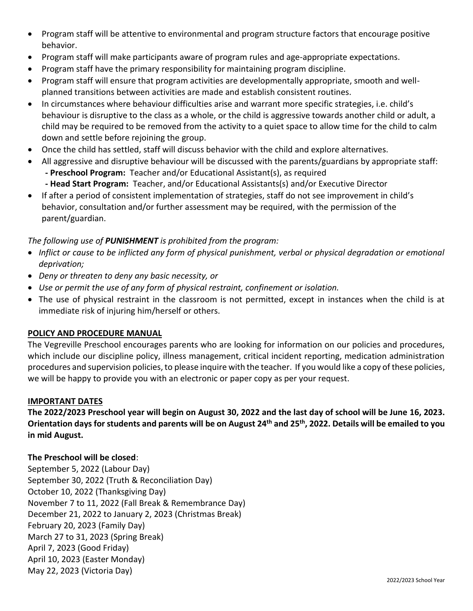- Program staff will be attentive to environmental and program structure factors that encourage positive behavior.
- Program staff will make participants aware of program rules and age-appropriate expectations.
- Program staff have the primary responsibility for maintaining program discipline.
- Program staff will ensure that program activities are developmentally appropriate, smooth and wellplanned transitions between activities are made and establish consistent routines.
- In circumstances where behaviour difficulties arise and warrant more specific strategies, i.e. child's behaviour is disruptive to the class as a whole, or the child is aggressive towards another child or adult, a child may be required to be removed from the activity to a quiet space to allow time for the child to calm down and settle before rejoining the group.
- Once the child has settled, staff will discuss behavior with the child and explore alternatives.
- All aggressive and disruptive behaviour will be discussed with the parents/guardians by appropriate staff: **- Preschool Program:** Teacher and/or Educational Assistant(s), as required **- Head Start Program:** Teacher, and/or Educational Assistants(s) and/or Executive Director
- If after a period of consistent implementation of strategies, staff do not see improvement in child's behavior, consultation and/or further assessment may be required, with the permission of the parent/guardian.

# *The following use of PUNISHMENT is prohibited from the program:*

- *Inflict or cause to be inflicted any form of physical punishment, verbal or physical degradation or emotional deprivation;*
- *Deny or threaten to deny any basic necessity, or*
- *Use or permit the use of any form of physical restraint, confinement or isolation.*
- The use of physical restraint in the classroom is not permitted, except in instances when the child is at immediate risk of injuring him/herself or others.

# **POLICY AND PROCEDURE MANUAL**

The Vegreville Preschool encourages parents who are looking for information on our policies and procedures, which include our discipline policy, illness management, critical incident reporting, medication administration procedures and supervision policies, to please inquire with the teacher. If you would like a copy of these policies, we will be happy to provide you with an electronic or paper copy as per your request.

# **IMPORTANT DATES**

**The 2022/2023 Preschool year will begin on August 30, 2022 and the last day of school will be June 16, 2023. Orientation days for students and parents will be on August 24 th and 25 th, 2022. Details will be emailed to you in mid August.**

# **The Preschool will be closed**:

September 5, 2022 (Labour Day) September 30, 2022 (Truth & Reconciliation Day) October 10, 2022 (Thanksgiving Day) November 7 to 11, 2022 (Fall Break & Remembrance Day) December 21, 2022 to January 2, 2023 (Christmas Break) February 20, 2023 (Family Day) March 27 to 31, 2023 (Spring Break) April 7, 2023 (Good Friday) April 10, 2023 (Easter Monday) May 22, 2023 (Victoria Day)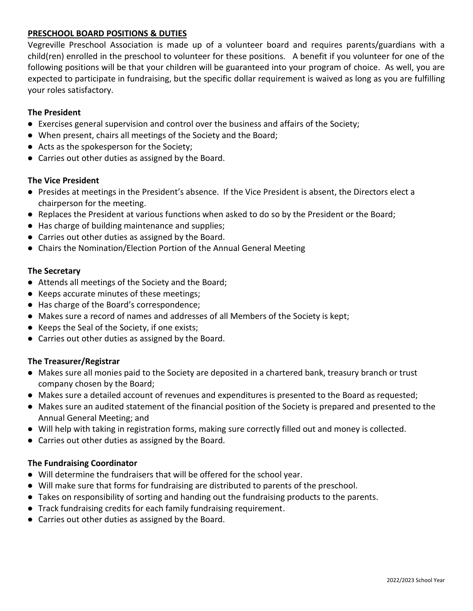# **PRESCHOOL BOARD POSITIONS & DUTIES**

Vegreville Preschool Association is made up of a volunteer board and requires parents/guardians with a child(ren) enrolled in the preschool to volunteer for these positions. A benefit if you volunteer for one of the following positions will be that your children will be guaranteed into your program of choice. As well, you are expected to participate in fundraising, but the specific dollar requirement is waived as long as you are fulfilling your roles satisfactory.

## **The President**

- Exercises general supervision and control over the business and affairs of the Society;
- When present, chairs all meetings of the Society and the Board;
- Acts as the spokesperson for the Society;
- Carries out other duties as assigned by the Board.

#### **The Vice President**

- Presides at meetings in the President's absence. If the Vice President is absent, the Directors elect a chairperson for the meeting.
- Replaces the President at various functions when asked to do so by the President or the Board;
- Has charge of building maintenance and supplies;
- Carries out other duties as assigned by the Board.
- Chairs the Nomination/Election Portion of the Annual General Meeting

#### **The Secretary**

- Attends all meetings of the Society and the Board;
- Keeps accurate minutes of these meetings;
- Has charge of the Board's correspondence;
- Makes sure a record of names and addresses of all Members of the Society is kept;
- Keeps the Seal of the Society, if one exists;
- Carries out other duties as assigned by the Board.

## **The Treasurer/Registrar**

- Makes sure all monies paid to the Society are deposited in a chartered bank, treasury branch or trust company chosen by the Board;
- Makes sure a detailed account of revenues and expenditures is presented to the Board as requested;
- Makes sure an audited statement of the financial position of the Society is prepared and presented to the Annual General Meeting; and
- Will help with taking in registration forms, making sure correctly filled out and money is collected.
- Carries out other duties as assigned by the Board.

## **The Fundraising Coordinator**

- Will determine the fundraisers that will be offered for the school year.
- Will make sure that forms for fundraising are distributed to parents of the preschool.
- Takes on responsibility of sorting and handing out the fundraising products to the parents.
- Track fundraising credits for each family fundraising requirement.
- Carries out other duties as assigned by the Board.